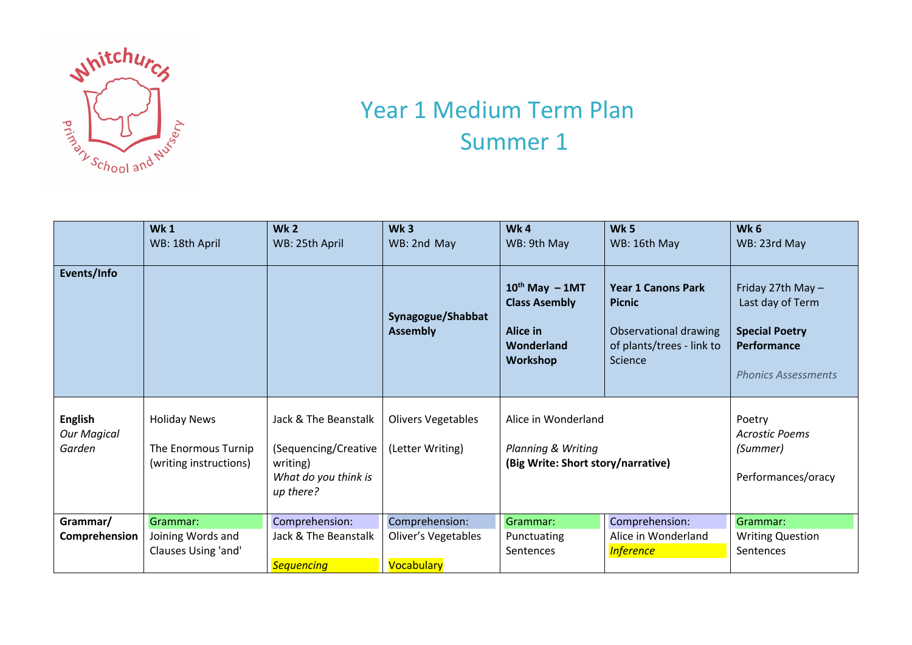

## Year 1 Medium Term Plan Summer 1

|                                                | <b>Wk1</b><br>WB: 18th April                                         | <b>Wk2</b><br>WB: 25th April                                                                  | Wk <sub>3</sub><br>WB: 2nd May                      | Wk4<br>WB: 9th May                                                                                | Wk <sub>5</sub><br>WB: 16th May                                                                             | Wk <sub>6</sub><br>WB: 23rd May                                                                             |
|------------------------------------------------|----------------------------------------------------------------------|-----------------------------------------------------------------------------------------------|-----------------------------------------------------|---------------------------------------------------------------------------------------------------|-------------------------------------------------------------------------------------------------------------|-------------------------------------------------------------------------------------------------------------|
| Events/Info                                    |                                                                      |                                                                                               | Synagogue/Shabbat<br><b>Assembly</b>                | $10^{th}$ May $-1$ MT<br><b>Class Asembly</b><br><b>Alice in</b><br>Wonderland<br><b>Workshop</b> | <b>Year 1 Canons Park</b><br><b>Picnic</b><br>Observational drawing<br>of plants/trees - link to<br>Science | Friday 27th May -<br>Last day of Term<br><b>Special Poetry</b><br>Performance<br><b>Phonics Assessments</b> |
| <b>English</b><br><b>Our Magical</b><br>Garden | <b>Holiday News</b><br>The Enormous Turnip<br>(writing instructions) | Jack & The Beanstalk<br>(Sequencing/Creative<br>writing)<br>What do you think is<br>up there? | <b>Olivers Vegetables</b><br>(Letter Writing)       | Alice in Wonderland<br><b>Planning &amp; Writing</b><br>(Big Write: Short story/narrative)        |                                                                                                             | Poetry<br><b>Acrostic Poems</b><br>(Summer)<br>Performances/oracy                                           |
| Grammar/<br>Comprehension                      | Grammar:<br>Joining Words and<br>Clauses Using 'and'                 | Comprehension:<br>Jack & The Beanstalk<br><b>Sequencing</b>                                   | Comprehension:<br>Oliver's Vegetables<br>Vocabulary | Grammar:<br>Punctuating<br>Sentences                                                              | Comprehension:<br>Alice in Wonderland<br><b>Inference</b>                                                   | Grammar:<br><b>Writing Question</b><br>Sentences                                                            |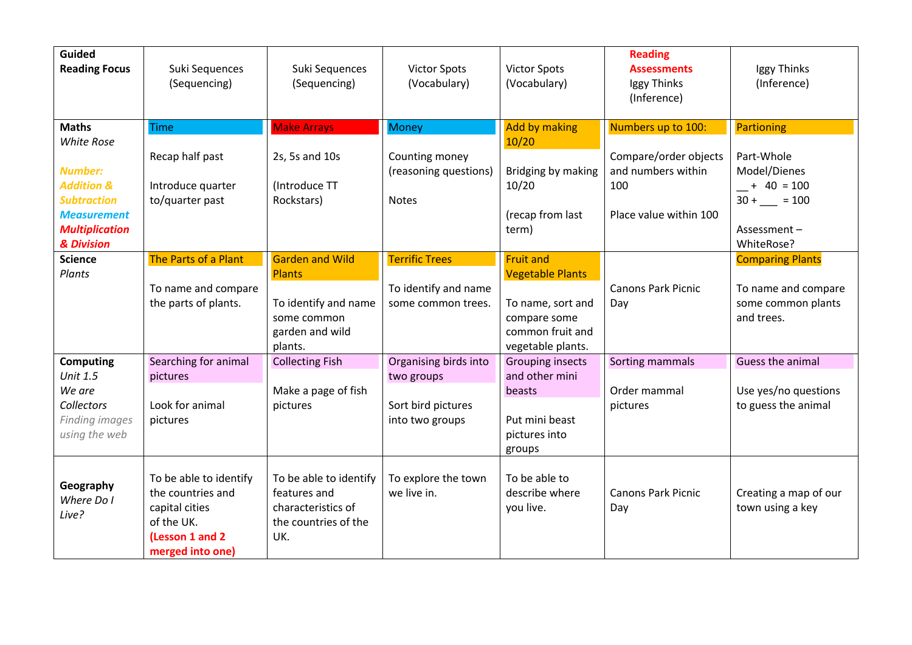| <b>Guided</b><br><b>Reading Focus</b>                                                                                                                           | Suki Sequences<br>(Sequencing)                                                                                     | Suki Sequences<br>(Sequencing)                                                                               | <b>Victor Spots</b><br>(Vocabulary)                                          | <b>Victor Spots</b><br>(Vocabulary)                                                                                       | <b>Reading</b><br><b>Assessments</b><br>Iggy Thinks<br>(Inference)                                 | Iggy Thinks<br>(Inference)                                                                              |
|-----------------------------------------------------------------------------------------------------------------------------------------------------------------|--------------------------------------------------------------------------------------------------------------------|--------------------------------------------------------------------------------------------------------------|------------------------------------------------------------------------------|---------------------------------------------------------------------------------------------------------------------------|----------------------------------------------------------------------------------------------------|---------------------------------------------------------------------------------------------------------|
| <b>Maths</b><br><b>White Rose</b><br><b>Number:</b><br><b>Addition &amp;</b><br><b>Subtraction</b><br><b>Measurement</b><br><b>Multiplication</b><br>& Division | <b>Time</b><br>Recap half past<br>Introduce quarter<br>to/quarter past                                             | <b>Make Arrays</b><br>2s, 5s and 10s<br>(Introduce TT<br>Rockstars)                                          | <b>Money</b><br>Counting money<br>(reasoning questions)<br><b>Notes</b>      | <b>Add by making</b><br>10/20<br>Bridging by making<br>10/20<br>(recap from last<br>term)                                 | Numbers up to 100:<br>Compare/order objects<br>and numbers within<br>100<br>Place value within 100 | Partioning<br>Part-Whole<br>Model/Dienes<br>$- + 40 = 100$<br>$30 +$ = 100<br>Assessment-<br>WhiteRose? |
| <b>Science</b><br>Plants                                                                                                                                        | The Parts of a Plant<br>To name and compare<br>the parts of plants.                                                | <b>Garden and Wild</b><br><b>Plants</b><br>To identify and name<br>some common<br>garden and wild<br>plants. | <b>Terrific Trees</b><br>To identify and name<br>some common trees.          | <b>Fruit and</b><br><b>Vegetable Plants</b><br>To name, sort and<br>compare some<br>common fruit and<br>vegetable plants. | <b>Canons Park Picnic</b><br>Day                                                                   | <b>Comparing Plants</b><br>To name and compare<br>some common plants<br>and trees.                      |
| <b>Computing</b><br><b>Unit 1.5</b><br>We are<br><b>Collectors</b><br><b>Finding images</b><br>using the web                                                    | Searching for animal<br>pictures<br>Look for animal<br>pictures                                                    | <b>Collecting Fish</b><br>Make a page of fish<br>pictures                                                    | Organising birds into<br>two groups<br>Sort bird pictures<br>into two groups | <b>Grouping insects</b><br>and other mini<br>beasts<br>Put mini beast<br>pictures into<br>groups                          | Sorting mammals<br>Order mammal<br>pictures                                                        | Guess the animal<br>Use yes/no questions<br>to guess the animal                                         |
| Geography<br>Where Do I<br>Live?                                                                                                                                | To be able to identify<br>the countries and<br>capital cities<br>of the UK.<br>(Lesson 1 and 2<br>merged into one) | To be able to identify<br>features and<br>characteristics of<br>the countries of the<br>UK.                  | To explore the town<br>we live in.                                           | To be able to<br>describe where<br>you live.                                                                              | <b>Canons Park Picnic</b><br>Day                                                                   | Creating a map of our<br>town using a key                                                               |